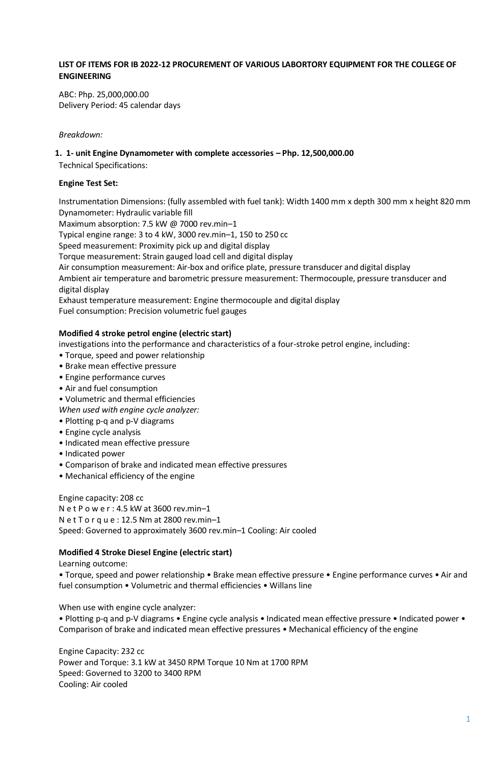## **LIST OF ITEMS FOR IB 2022-12 PROCUREMENT OF VARIOUS LABORTORY EQUIPMENT FOR THE COLLEGE OF ENGINEERING**

ABC: Php. 25,000,000.00 Delivery Period: 45 calendar days

## *Breakdown:*

## **1. 1- unit Engine Dynamometer with complete accessories – Php. 12,500,000.00**

Technical Specifications:

## **Engine Test Set:**

Instrumentation Dimensions: (fully assembled with fuel tank): Width 1400 mm x depth 300 mm x height 820 mm Dynamometer: Hydraulic variable fill

Maximum absorption: 7.5 kW @ 7000 rev.min-1

Typical engine range: 3 to 4 kW, 3000 rev.min–1, 150 to 250 cc

Speed measurement: Proximity pick up and digital display

Torque measurement: Strain gauged load cell and digital display

Air consumption measurement: Air-box and orifice plate, pressure transducer and digital display

Ambient air temperature and barometric pressure measurement: Thermocouple, pressure transducer and digital display

Exhaust temperature measurement: Engine thermocouple and digital display Fuel consumption: Precision volumetric fuel gauges

## **Modified 4 stroke petrol engine (electric start)**

investigations into the performance and characteristics of a four-stroke petrol engine, including:

- Torque, speed and power relationship
- Brake mean effective pressure
- Engine performance curves
- Air and fuel consumption
- Volumetric and thermal efficiencies
- *When used with engine cycle analyzer:*
- Plotting p-q and p-V diagrams
- Engine cycle analysis
- Indicated mean effective pressure
- Indicated power
- Comparison of brake and indicated mean effective pressures
- Mechanical efficiency of the engine

Engine capacity: 208 cc N e t P o w e r : 4.5 kW at 3600 rev.min–1 N e t T o r q u e : 12.5 Nm at 2800 rev.min–1 Speed: Governed to approximately 3600 rev.min–1 Cooling: Air cooled

## **Modified 4 Stroke Diesel Engine (electric start)**

Learning outcome:

• Torque, speed and power relationship • Brake mean effective pressure • Engine performance curves • Air and fuel consumption • Volumetric and thermal efficiencies • Willans line

When use with engine cycle analyzer:

• Plotting p-q and p-V diagrams • Engine cycle analysis • Indicated mean effective pressure • Indicated power • Comparison of brake and indicated mean effective pressures • Mechanical efficiency of the engine

Engine Capacity: 232 cc Power and Torque: 3.1 kW at 3450 RPM Torque 10 Nm at 1700 RPM Speed: Governed to 3200 to 3400 RPM Cooling: Air cooled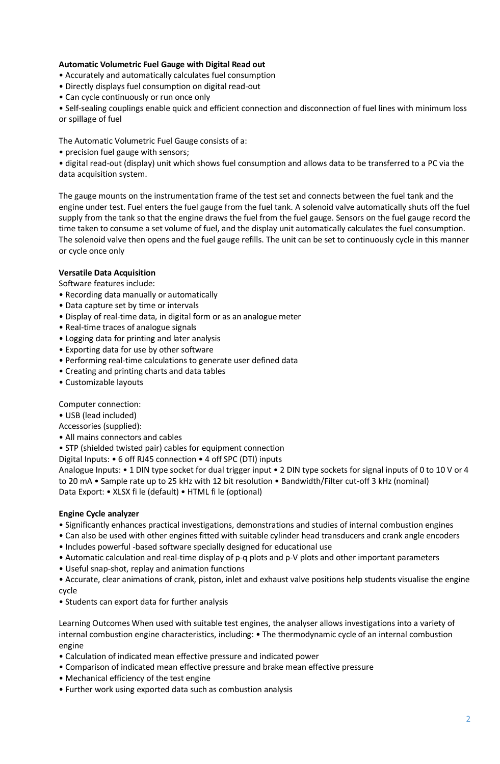## **Automatic Volumetric Fuel Gauge with Digital Read out**

• Accurately and automatically calculates fuel consumption

• Directly displays fuel consumption on digital read-out

• Can cycle continuously or run once only

• Self-sealing couplings enable quick and efficient connection and disconnection of fuel lines with minimum loss or spillage of fuel

The Automatic Volumetric Fuel Gauge consists of a:

• precision fuel gauge with sensors;

• digital read-out (display) unit which shows fuel consumption and allows data to be transferred to a PC via the data acquisition system.

The gauge mounts on the instrumentation frame of the test set and connects between the fuel tank and the engine under test. Fuel enters the fuel gauge from the fuel tank. A solenoid valve automatically shuts off the fuel supply from the tank so that the engine draws the fuel from the fuel gauge. Sensors on the fuel gauge record the time taken to consume a set volume of fuel, and the display unit automatically calculates the fuel consumption. The solenoid valve then opens and the fuel gauge refills. The unit can be set to continuously cycle in this manner or cycle once only

## **Versatile Data Acquisition**

Software features include:

- Recording data manually or automatically
- Data capture set by time or intervals
- Display of real-time data, in digital form or as an analogue meter
- Real-time traces of analogue signals
- Logging data for printing and later analysis
- Exporting data for use by other software
- Performing real-time calculations to generate user defined data
- Creating and printing charts and data tables
- Customizable layouts

Computer connection:

- USB (lead included)
- Accessories (supplied):
- All mains connectors and cables
- STP (shielded twisted pair) cables for equipment connection

Digital Inputs: • 6 off RJ45 connection • 4 off SPC (DTI) inputs

Analogue Inputs: • 1 DIN type socket for dual trigger input • 2 DIN type sockets for signal inputs of 0 to 10 V or 4 to 20 mA • Sample rate up to 25 kHz with 12 bit resolution • Bandwidth/Filter cut-off 3 kHz (nominal) Data Export: • XLSX fi le (default) • HTML fi le (optional)

### **Engine Cycle analyzer**

- Significantly enhances practical investigations, demonstrations and studies of internal combustion engines
- Can also be used with other engines fitted with suitable cylinder head transducers and crank angle encoders
- Includes powerful -based software specially designed for educational use
- Automatic calculation and real-time display of p-q plots and p-V plots and other important parameters
- Useful snap-shot, replay and animation functions
- Accurate, clear animations of crank, piston, inlet and exhaust valve positions help students visualise the engine cycle
- Students can export data for further analysis

Learning Outcomes When used with suitable test engines, the analyser allows investigations into a variety of internal combustion engine characteristics, including: • The thermodynamic cycle of an internal combustion engine

- Calculation of indicated mean effective pressure and indicated power
- Comparison of indicated mean effective pressure and brake mean effective pressure
- Mechanical efficiency of the test engine
- Further work using exported data such as combustion analysis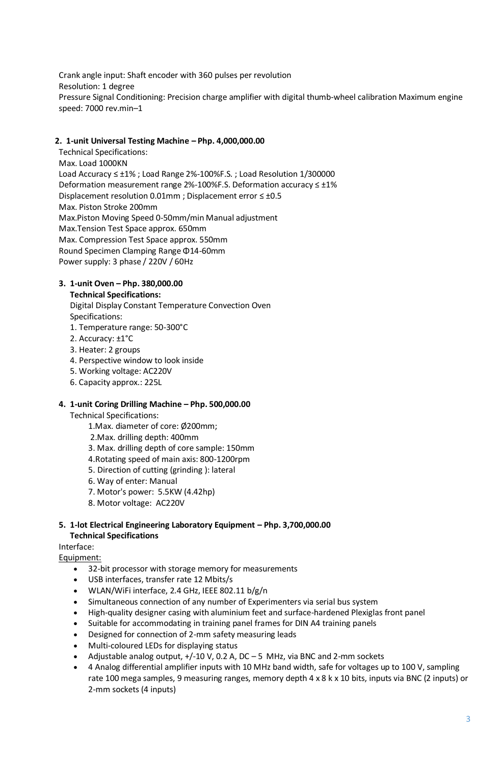Crank angle input: Shaft encoder with 360 pulses per revolution Resolution: 1 degree Pressure Signal Conditioning: Precision charge amplifier with digital thumb-wheel calibration Maximum engine speed: 7000 rev.min–1

## **2. 1-unit Universal Testing Machine – Php. 4,000,000.00**

Technical Specifications: Max. Load 1000KN Load Accuracy ≤ ±1% ; Load Range 2%-100%F.S. ; Load Resolution 1/300000 Deformation measurement range 2%-100%F.S. Deformation accuracy ≤ ±1% Displacement resolution 0.01mm ; Displacement error ≤ ±0.5 Max. Piston Stroke 200mm Max.Piston Moving Speed 0-50mm/min Manual adjustment Max.Tension Test Space approx. 650mm Max. Compression Test Space approx. 550mm Round Specimen Clamping Range Φ14-60mm Power supply: 3 phase / 220V / 60Hz

## **3. 1-unit Oven – Php. 380,000.00**

### **Technical Specifications:**

Digital Display Constant Temperature Convection Oven Specifications: 1. Temperature range: 50-300°C

- 
- 2. Accuracy: ±1°C
- 3. Heater: 2 groups
- 4. Perspective window to look inside
- 5. Working voltage: AC220V
- 6. Capacity approx.: 225L

### **4. 1-unit Coring Drilling Machine – Php. 500,000.00**

Technical Specifications:

- 1.Max. diameter of core: Ø200mm;
- 2.Max. drilling depth: 400mm
- 3. Max. drilling depth of core sample: 150mm
- 4.Rotating speed of main axis: 800-1200rpm
- 5. Direction of cutting (grinding ): lateral
- 6. Way of enter: Manual
- 7. Motor's power: 5.5KW (4.42hp)
- 8. Motor voltage: AC220V

## **5. 1-lot Electrical Engineering Laboratory Equipment – Php. 3,700,000.00 Technical Specifications**

### Interface:

Equipment:

- 32-bit processor with storage memory for measurements
- USB interfaces, transfer rate 12 Mbits/s
- WLAN/WiFi interface, 2.4 GHz, IEEE 802.11 b/g/n
- Simultaneous connection of any number of Experimenters via serial bus system
- High-quality designer casing with aluminium feet and surface-hardened Plexiglas front panel
- Suitable for accommodating in training panel frames for DIN A4 training panels
- Designed for connection of 2-mm safety measuring leads
- Multi-coloured LEDs for displaying status
- Adjustable analog output, +/-10 V, 0.2 A, DC 5 MHz, via BNC and 2-mm sockets
- 4 Analog differential amplifier inputs with 10 MHz band width, safe for voltages up to 100 V, sampling rate 100 mega samples, 9 measuring ranges, memory depth 4 x 8 k x 10 bits, inputs via BNC (2 inputs) or 2-mm sockets (4 inputs)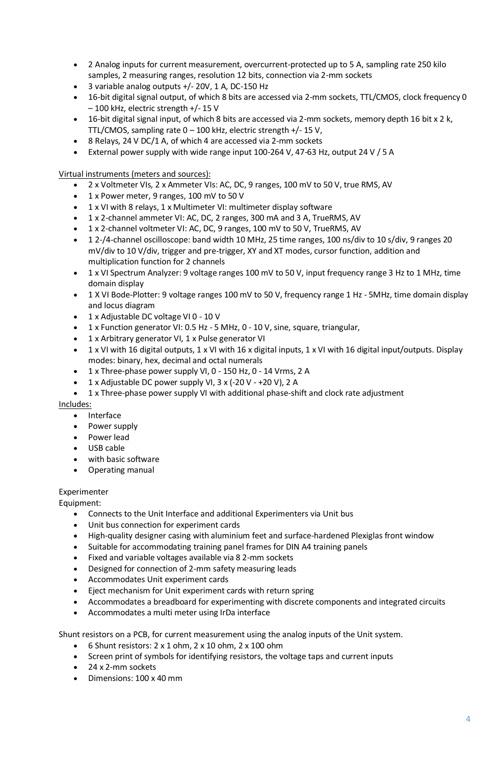- 2 Analog inputs for current measurement, overcurrent-protected up to 5 A, sampling rate 250 kilo samples, 2 measuring ranges, resolution 12 bits, connection via 2-mm sockets
- 3 variable analog outputs +/- 20V, 1 A, DC-150 Hz
- 16-bit digital signal output, of which 8 bits are accessed via 2-mm sockets, TTL/CMOS, clock frequency 0 – 100 kHz, electric strength +/- 15 V
- 16-bit digital signal input, of which 8 bits are accessed via 2-mm sockets, memory depth 16 bit x 2 k, TTL/CMOS, sampling rate 0 – 100 kHz, electric strength +/- 15 V,
- 8 Relays, 24 V DC/1 A, of which 4 are accessed via 2-mm sockets
- External power supply with wide range input 100-264 V, 47-63 Hz, output 24 V / 5 A

Virtual instruments (meters and sources):

- 2 x Voltmeter VIs, 2 x Ammeter VIs: AC, DC, 9 ranges, 100 mV to 50 V, true RMS, AV
- 1 x Power meter, 9 ranges, 100 mV to 50 V
- 1 x VI with 8 relays, 1 x Multimeter VI: multimeter display software
- 1 x 2-channel ammeter VI: AC, DC, 2 ranges, 300 mA and 3 A, TrueRMS, AV
- 1 x 2-channel voltmeter VI: AC, DC, 9 ranges, 100 mV to 50 V, TrueRMS, AV
- 1 2-/4-channel oscilloscope: band width 10 MHz, 25 time ranges, 100 ns/div to 10 s/div, 9 ranges 20 mV/div to 10 V/div, trigger and pre-trigger, XY and XT modes, cursor function, addition and multiplication function for 2 channels
- 1 x VI Spectrum Analyzer: 9 voltage ranges 100 mV to 50 V, input frequency range 3 Hz to 1 MHz, time domain display
- 1 X VI Bode-Plotter: 9 voltage ranges 100 mV to 50 V, frequency range 1 Hz 5MHz, time domain display and locus diagram
- 1 x Adjustable DC voltage VI 0 10 V
- 1 x Function generator VI: 0.5 Hz 5 MHz, 0 10 V, sine, square, triangular,
- 1 x Arbitrary generator VI, 1 x Pulse generator VI
- 1 x VI with 16 digital outputs, 1 x VI with 16 x digital inputs, 1 x VI with 16 digital input/outputs. Display modes: binary, hex, decimal and octal numerals
- 1 x Three-phase power supply VI, 0 150 Hz, 0 14 Vrms, 2 A
- 1 x Adjustable DC power supply VI, 3 x (-20 V +20 V), 2 A
- 1 x Three-phase power supply VI with additional phase-shift and clock rate adjustment

### Includes:

- Interface
- Power supply
- Power lead
- USB cable
- with basic software
- Operating manual

## Experimenter

Equipment:

- Connects to the Unit Interface and additional Experimenters via Unit bus
- Unit bus connection for experiment cards
- High-quality designer casing with aluminium feet and surface-hardened Plexiglas front window
- Suitable for accommodating training panel frames for DIN A4 training panels
- Fixed and variable voltages available via 8 2-mm sockets
- Designed for connection of 2-mm safety measuring leads
- Accommodates Unit experiment cards
- Eject mechanism for Unit experiment cards with return spring
- Accommodates a breadboard for experimenting with discrete components and integrated circuits
- Accommodates a multi meter using IrDa interface

Shunt resistors on a PCB, for current measurement using the analog inputs of the Unit system.

- $\bullet$  6 Shunt resistors: 2 x 1 ohm, 2 x 10 ohm, 2 x 100 ohm
- Screen print of symbols for identifying resistors, the voltage taps and current inputs
- 24 x 2-mm sockets
- Dimensions: 100 x 40 mm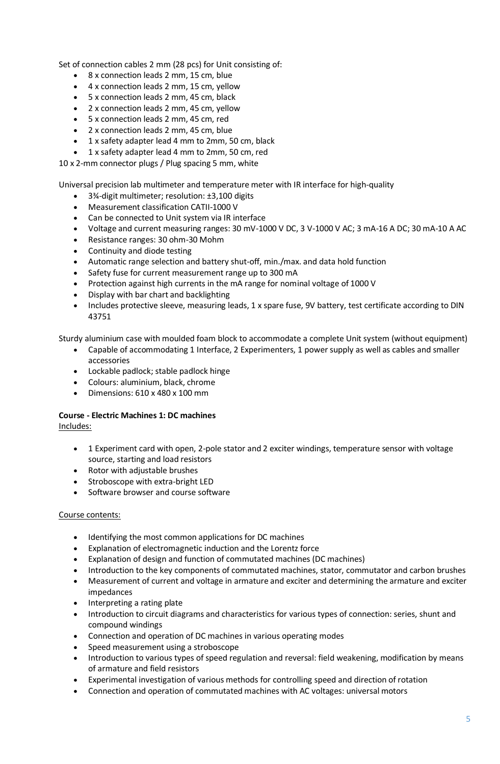Set of connection cables 2 mm (28 pcs) for Unit consisting of:

- 8 x connection leads 2 mm, 15 cm, blue
- 4 x connection leads 2 mm, 15 cm, yellow
- 5 x connection leads 2 mm, 45 cm, black
- 2 x connection leads 2 mm, 45 cm, yellow
- 5 x connection leads 2 mm, 45 cm, red
- 2 x connection leads 2 mm, 45 cm, blue
- 1 x safety adapter lead 4 mm to 2mm, 50 cm, black
- 1 x safety adapter lead 4 mm to 2mm, 50 cm, red

10 x 2-mm connector plugs / Plug spacing 5 mm, white

Universal precision lab multimeter and temperature meter with IR interface for high-quality

- 3¾-digit multimeter; resolution: ±3,100 digits
- Measurement classification CATII-1000 V
- Can be connected to Unit system via IR interface
- Voltage and current measuring ranges: 30 mV-1000 V DC, 3 V-1000 V AC; 3 mA-16 A DC; 30 mA-10 A AC
- Resistance ranges: 30 ohm-30 Mohm
- Continuity and diode testing
- Automatic range selection and battery shut-off, min./max. and data hold function
- Safety fuse for current measurement range up to 300 mA
- Protection against high currents in the mA range for nominal voltage of 1000 V
- Display with bar chart and backlighting
- Includes protective sleeve, measuring leads, 1 x spare fuse, 9V battery, test certificate according to DIN 43751

Sturdy aluminium case with moulded foam block to accommodate a complete Unit system (without equipment)

- Capable of accommodating 1 Interface, 2 Experimenters, 1 power supply as well as cables and smaller accessories
- Lockable padlock; stable padlock hinge
- Colours: aluminium, black, chrome
- $\bullet$  Dimensions: 610 x 480 x 100 mm

# **Course - Electric Machines 1: DC machines**

Includes:

- 1 Experiment card with open, 2-pole stator and 2 exciter windings, temperature sensor with voltage source, starting and load resistors
- Rotor with adjustable brushes
- Stroboscope with extra-bright LED
- Software browser and course software

### Course contents:

- Identifying the most common applications for DC machines
- Explanation of electromagnetic induction and the Lorentz force
- Explanation of design and function of commutated machines (DC machines)
- Introduction to the key components of commutated machines, stator, commutator and carbon brushes
- Measurement of current and voltage in armature and exciter and determining the armature and exciter impedances
- Interpreting a rating plate
- Introduction to circuit diagrams and characteristics for various types of connection: series, shunt and compound windings
- Connection and operation of DC machines in various operating modes
- Speed measurement using a stroboscope
- Introduction to various types of speed regulation and reversal: field weakening, modification by means of armature and field resistors
- Experimental investigation of various methods for controlling speed and direction of rotation
- Connection and operation of commutated machines with AC voltages: universal motors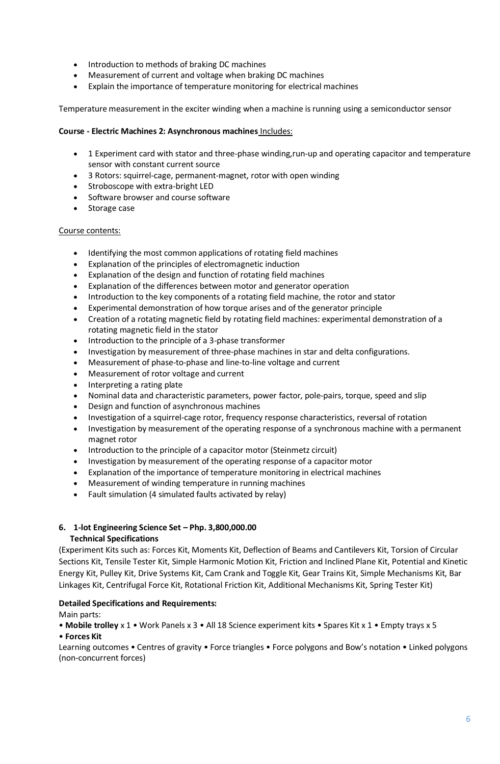- Introduction to methods of braking DC machines
- Measurement of current and voltage when braking DC machines
- Explain the importance of temperature monitoring for electrical machines

Temperature measurement in the exciter winding when a machine is running using a semiconductor sensor

## **Course - Electric Machines 2: Asynchronous machines** Includes:

- 1 Experiment card with stator and three-phase winding,run-up and operating capacitor and temperature sensor with constant current source
- 3 Rotors: squirrel-cage, permanent-magnet, rotor with open winding
- Stroboscope with extra-bright LED
- Software browser and course software
- Storage case

## Course contents:

- Identifying the most common applications of rotating field machines
- Explanation of the principles of electromagnetic induction
- Explanation of the design and function of rotating field machines
- Explanation of the differences between motor and generator operation
- Introduction to the key components of a rotating field machine, the rotor and stator
- Experimental demonstration of how torque arises and of the generator principle
- Creation of a rotating magnetic field by rotating field machines: experimental demonstration of a rotating magnetic field in the stator
- Introduction to the principle of a 3-phase transformer
- Investigation by measurement of three-phase machines in star and delta configurations.
- Measurement of phase-to-phase and line-to-line voltage and current
- Measurement of rotor voltage and current
- Interpreting a rating plate
- Nominal data and characteristic parameters, power factor, pole-pairs, torque, speed and slip
- Design and function of asynchronous machines
- Investigation of a squirrel-cage rotor, frequency response characteristics, reversal of rotation
- Investigation by measurement of the operating response of a synchronous machine with a permanent magnet rotor
- Introduction to the principle of a capacitor motor (Steinmetz circuit)
- Investigation by measurement of the operating response of a capacitor motor
- Explanation of the importance of temperature monitoring in electrical machines
- Measurement of winding temperature in running machines
- Fault simulation (4 simulated faults activated by relay)

## **6. 1-lot Engineering Science Set – Php. 3,800,000.00 Technical Specifications**

(Experiment Kits such as: Forces Kit, Moments Kit, Deflection of Beams and Cantilevers Kit, Torsion of Circular Sections Kit, Tensile Tester Kit, Simple Harmonic Motion Kit, Friction and Inclined Plane Kit, Potential and Kinetic Energy Kit, Pulley Kit, Drive Systems Kit, Cam Crank and Toggle Kit, Gear Trains Kit, Simple Mechanisms Kit, Bar Linkages Kit, Centrifugal Force Kit, Rotational Friction Kit, Additional Mechanisms Kit, Spring Tester Kit)

## **Detailed Specifications and Requirements:**

Main parts:

• **Mobile trolley** x 1 • Work Panels x 3 • All 18 Science experiment kits • Spares Kit x 1 • Empty trays x 5 • **Forces Kit**

Learning outcomes • Centres of gravity • Force triangles • Force polygons and Bow's notation • Linked polygons (non-concurrent forces)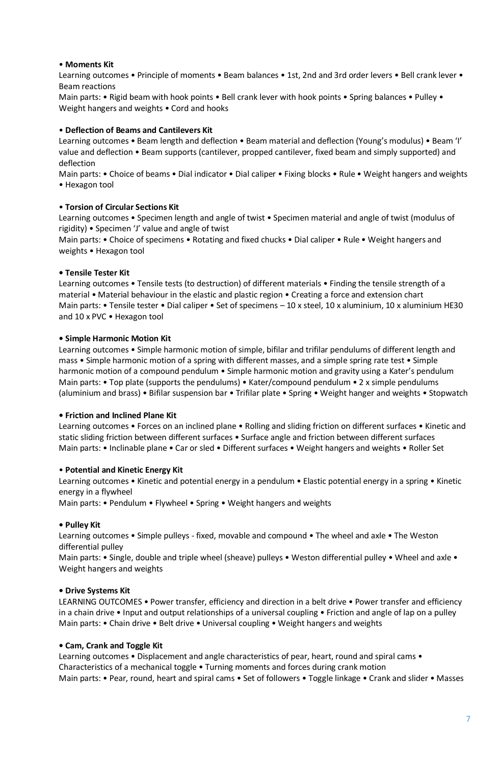## • **Moments Kit**

Learning outcomes • Principle of moments • Beam balances • 1st, 2nd and 3rd order levers • Bell crank lever • Beam reactions

Main parts: • Rigid beam with hook points • Bell crank lever with hook points • Spring balances • Pulley • Weight hangers and weights • Cord and hooks

#### • **Deflection of Beams and Cantilevers Kit**

Learning outcomes • Beam length and deflection • Beam material and deflection (Young's modulus) • Beam 'I' value and deflection • Beam supports (cantilever, propped cantilever, fixed beam and simply supported) and deflection

Main parts: • Choice of beams • Dial indicator • Dial caliper • Fixing blocks • Rule • Weight hangers and weights • Hexagon tool

### • **Torsion of Circular Sections Kit**

Learning outcomes • Specimen length and angle of twist • Specimen material and angle of twist (modulus of rigidity) • Specimen 'J' value and angle of twist

Main parts: • Choice of specimens • Rotating and fixed chucks • Dial caliper • Rule • Weight hangers and weights • Hexagon tool

### **• Tensile Tester Kit**

Learning outcomes • Tensile tests (to destruction) of different materials • Finding the tensile strength of a material • Material behaviour in the elastic and plastic region • Creating a force and extension chart Main parts: • Tensile tester • Dial caliper • Set of specimens – 10 x steel, 10 x aluminium, 10 x aluminium HE30 and 10 x PVC • Hexagon tool

#### **• Simple Harmonic Motion Kit**

Learning outcomes • Simple harmonic motion of simple, bifilar and trifilar pendulums of different length and mass • Simple harmonic motion of a spring with different masses, and a simple spring rate test • Simple harmonic motion of a compound pendulum • Simple harmonic motion and gravity using a Kater's pendulum Main parts: • Top plate (supports the pendulums) • Kater/compound pendulum • 2 x simple pendulums (aluminium and brass) • Bifilar suspension bar • Trifilar plate • Spring • Weight hanger and weights • Stopwatch

#### **• Friction and Inclined Plane Kit**

Learning outcomes • Forces on an inclined plane • Rolling and sliding friction on different surfaces • Kinetic and static sliding friction between different surfaces • Surface angle and friction between different surfaces Main parts: • Inclinable plane • Car or sled • Different surfaces • Weight hangers and weights • Roller Set

### • **Potential and Kinetic Energy Kit**

Learning outcomes • Kinetic and potential energy in a pendulum • Elastic potential energy in a spring • Kinetic energy in a flywheel

Main parts: • Pendulum • Flywheel • Spring • Weight hangers and weights

### **• Pulley Kit**

Learning outcomes • Simple pulleys - fixed, movable and compound • The wheel and axle • The Weston differential pulley

Main parts: • Single, double and triple wheel (sheave) pulleys • Weston differential pulley • Wheel and axle • Weight hangers and weights

### **• Drive Systems Kit**

LEARNING OUTCOMES • Power transfer, efficiency and direction in a belt drive • Power transfer and efficiency in a chain drive • Input and output relationships of a universal coupling • Friction and angle of lap on a pulley Main parts: • Chain drive • Belt drive • Universal coupling • Weight hangers and weights

#### **• Cam, Crank and Toggle Kit**

Learning outcomes • Displacement and angle characteristics of pear, heart, round and spiral cams • Characteristics of a mechanical toggle • Turning moments and forces during crank motion Main parts: • Pear, round, heart and spiral cams • Set of followers • Toggle linkage • Crank and slider • Masses